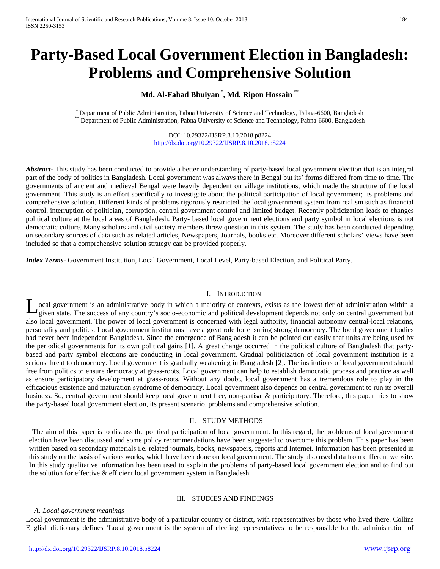# **Party-Based Local Government Election in Bangladesh: Problems and Comprehensive Solution**

## **Md. Al-Fahad Bhuiyan \* , Md. Ripon Hossain \*\***

\* Department of Public Administration, Pabna University of Science and Technology, Pabna-6600, Bangladesh \*\* Department of Public Administration, Pabna University of Science and Technology, Pabna-6600, Bangladesh

DOI: 10.29322/IJSRP.8.10.2018.p8224 <http://dx.doi.org/10.29322/IJSRP.8.10.2018.p8224>

*Abstract***-** This study has been conducted to provide a better understanding of party-based local government election that is an integral part of the body of politics in Bangladesh. Local government was always there in Bengal but its' forms differed from time to time. The governments of ancient and medieval Bengal were heavily dependent on village institutions, which made the structure of the local government. This study is an effort specifically to investigate about the political participation of local government; its problems and comprehensive solution. Different kinds of problems rigorously restricted the local government system from realism such as financial control, interruption of politician, corruption, central government control and limited budget. Recently politicization leads to changes political culture at the local areas of Bangladesh. Party- based local government elections and party symbol in local elections is not democratic culture. Many scholars and civil society members threw question in this system. The study has been conducted depending on secondary sources of data such as related articles, Newspapers, Journals, books etc. Moreover different scholars' views have been included so that a comprehensive solution strategy can be provided properly.

*Index Terms*- Government Institution, Local Government, Local Level, Party-based Election, and Political Party.

#### I. INTRODUCTION

ocal government is an administrative body in which a majority of contexts, exists as the lowest tier of administration within a Local government is an administrative body in which a majority of contexts, exists as the lowest tier of administration within a given state. The success of any country's socio-economic and political development depends no also local government. The power of local government is concerned with legal authority, financial autonomy central-local relations, personality and politics. Local government institutions have a great role for ensuring strong democracy. The local government bodies had never been independent Bangladesh. Since the emergence of Bangladesh it can be pointed out easily that units are being used by the periodical governments for its own political gains [1]. A great change occurred in the political culture of Bangladesh that partybased and party symbol elections are conducting in local government. Gradual politicization of local government institution is a serious threat to democracy. Local government is gradually weakening in Bangladesh [2]. The institutions of local government should free from politics to ensure democracy at grass-roots. Local government can help to establish democratic process and practice as well as ensure participatory development at grass-roots. Without any doubt, local government has a tremendous role to play in the efficacious existence and maturation syndrome of democracy. Local government also depends on central government to run its overall business. So, central government should keep local government free, non-partisan& participatory. Therefore, this paper tries to show the party-based local government election, its present scenario, problems and comprehensive solution.

## II. STUDY METHODS

The aim of this paper is to discuss the political participation of local government. In this regard, the problems of local government election have been discussed and some policy recommendations have been suggested to overcome this problem. This paper has been written based on secondary materials i.e. related journals, books, newspapers, reports and Internet. Information has been presented in this study on the basis of various works, which have been done on local government. The study also used data from different website. In this study qualitative information has been used to explain the problems of party-based local government election and to find out the solution for effective & efficient local government system in Bangladesh.

## III. STUDIES AND FINDINGS

#### *A*. *Local government meanings*

Local government is the administrative body of a particular country or district, with representatives by those who lived there. Collins English dictionary defines 'Local government is the system of electing representatives to be responsible for the administration of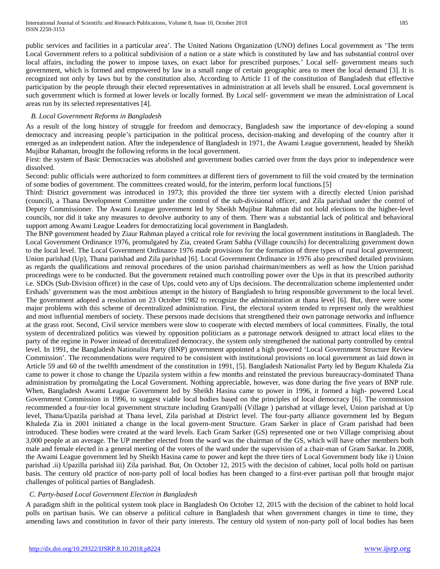public services and facilities in a particular area'. The United Nations Organization (UNO) defines Local government as 'The term Local Government refers to a political subdivision of a nation or a state which is constituted by law and has substantial control over local affairs, including the power to impose taxes, on exact labor for prescribed purposes.' Local self- government means such government, which is formed and empowered by law in a small range of certain geographic area to meet the local demand [3]. It is recognized not only by laws but by the constitution also. According to Article 11 of the constitution of Bangladesh that effective participation by the people through their elected representatives in administration at all levels shall be ensured. Local government is such government which is formed at lower levels or locally formed. By Local self- government we mean the administration of Local areas run by its selected representatives [4].

### *B. Local Government Reforms in Bangladesh*

As a result of the long history of struggle for freedom and democracy, Bangladesh saw the importance of dev-eloping a sound democracy and increasing people's participation in the political process, decision-making and developing of the country after it emerged as an independent nation. After the independence of Bangladesh in 1971, the Awami League government, headed by Sheikh Mujibur Rahaman, brought the following reforms in the local government.

First: the system of Basic Democracies was abolished and government bodies carried over from the days prior to independence were dissolved.

Second: public officials were authorized to form committees at different tiers of government to fill the void created by the termination of some bodies of government. The committees created would, for the interim, perform local functions.[5]

Third: District government was introduced in 1973; this provided the three tier system with a directly elected Union parishad (council), a Thana Development Committee under the control of the sub-divisional officer, and Zila parishad under the control of Deputy Commissioner. The Awami League government led by Sheikh Mujibur Rahman did not hold elections to the higher-level councils, nor did it take any measures to devolve authority to any of them. There was a substantial lack of political and behavioral support among Awami League Leaders for democratizing local government in Bangladesh.

The BNP government headed by Ziaur Rahman played a critical role for reviving the local government institutions in Bangladesh. The Local Government Ordinance 1976, promulgated by Zia, created Gram Sabha (Village councils) for decentralizing government down to the local level. The Local Government Ordinance 1976 made provisions for the formation of three types of rural local government; Union parishad (Up), Thana parishad and Zila parishad [6]. Local Government Ordinance in 1976 also prescribed detailed provisions as regards the qualifications and removal procedures of the union parishad chairman/members as well as how the Union parishad proceedings were to be conducted. But the government retained much controlling power over the Ups in that its prescribed authority i.e. SDOs (Sub-Division officer) in the case of Ups, could veto any of Ups decisions. The decentralization scheme implemented under Ershads' government was the most ambitious attempt in the history of Bangladesh to bring responsible government to the local level. The government adopted a resolution on 23 October 1982 to recognize the administration at thana level [6]. But, there were some major problems with this scheme of decentralized administration. First, the electoral system tended to represent only the wealthiest and most influential members of society. These persons made decisions that strengthened their own patronage networks and influence at the grass root. Second, Civil service members were slow to cooperate with elected members of local committees. Finally, the total system of decentralized politics was viewed by opposition politicians as a patronage network designed to attract local elites to the party of the regime in Power instead of decentralized democracy, the system only strengthened the national party controlled by central level. In 1991, the Bangladesh Nationalist Party (BNP) government appointed a high powered 'Local Government Structure Review Commission'. The recommendations were required to be consistent with institutional provisions on local government as laid down in Article 59 and 60 of the twelfth amendment of the constitution in 1991, [5]. Bangladesh Nationalist Party led by Begum Khaleda Zia came to power it chose to change the Upazila system within a few months and reinstated the previous bureaucracy-dominated Thana administration by promulgating the Local Government. Nothing appreciable, however, was done during the five years of BNP rule. When, Bangladesh Awami League Government led by Sheikh Hasina came to power in 1996, it formed a high- powered Local Government Commission in 1996, to suggest viable local bodies based on the principles of local democracy [6]. The commission recommended a four-tier local government structure including Gram/palli (Village ) parishad at village level, Union parishad at Up level, Thana/Upazila parishad at Thana level, Zila parishad at District level. The four-party alliance government led by Begum Khaleda Zia in 2001 initiated a change in the local govern-ment Structure. Gram Sarker in place of Gram parishad had been introduced. These bodies were created at the ward levels. Each Gram Sarker (GS) represented one or two Village comprising about 3,000 people at an average. The UP member elected from the ward was the chairman of the GS, which will have other members both male and female elected in a general meeting of the voters of the ward under the supervision of a chair-man of Gram Sarkar. In 2008, the Awami League government led by Sheikh Hasina came to power and kept the three tiers of Local Government body like i) Union parishad .ii) Upazilla parishad iii) Zila parishad. But, On October 12, 2015 with the decision of cabinet, local polls hold on partisan basis. The century old practice of non-party poll of local bodies has been changed to a first-ever partisan poll that brought major challenges of political parties of Bangladesh.

#### *C. Party-based Local Government Election in Bangladesh*

A paradigm shift in the political system took place in Bangladesh On October 12, 2015 with the decision of the cabinet to hold local polls on partisan basis. We can observe a political culture in Bangladesh that when government changes in time to time, they amending laws and constitution in favor of their party interests. The century old system of non-party poll of local bodies has been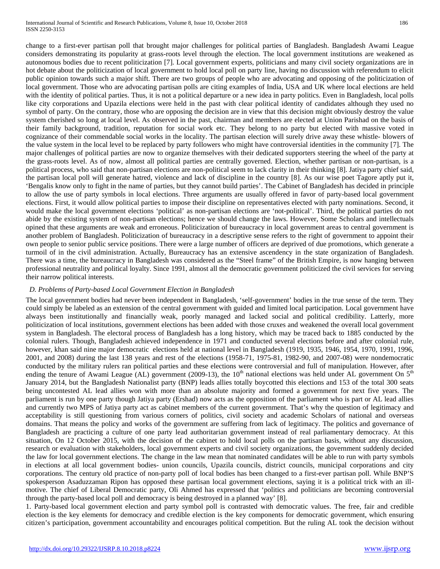change to a first-ever partisan poll that brought major challenges for political parties of Bangladesh. Bangladesh Awami League considers demonstrating its popularity at grass-roots level through the election. The local government institutions are weakened as autonomous bodies due to recent politicization [7]. Local government experts, politicians and many civil society organizations are in hot debate about the politicization of local government to hold local poll on party line, having no discussion with referendum to elicit public opinion towards such a major shift. There are two groups of people who are advocating and opposing of the politicization of local government. Those who are advocating partisan polls are citing examples of India, USA and UK where local elections are held with the identity of political parties. Thus, it is not a political departure or a new idea in party politics. Even in Bangladesh, local polls like city corporations and Upazila elections were held in the past with clear political identity of candidates although they used no symbol of party. On the contrary, those who are opposing the decision are in view that this decision might obviously destroy the value system cherished so long at local level. As observed in the past, chairman and members are elected at Union Parishad on the basis of their family background, tradition, reputation for social work etc. They belong to no party but elected with massive voted in cognizance of their commendable social works in the locality. The partisan election will surely drive away these whistle- blowers of the value system in the local level to be replaced by party followers who might have controversial identities in the community [7]. The major challenges of political parties are now to organize themselves with their dedicated supporters steering the wheel of the party at the grass-roots level. As of now, almost all political parties are centrally governed. Election, whether partisan or non-partisan, is a political process, who said that non-partisan elections are non-political seem to lack clarity in their thinking [8]. Jatiya party chief said, the partisan local poll will generate hatred, violence and lack of discipline in the country [8]. As our wise poet Tagore aptly put it, 'Bengalis know only to fight in the name of parties, but they cannot build parties'. The Cabinet of Bangladesh has decided in principle to allow the use of party symbols in local elections. Three arguments are usually offered in favor of party-based local government elections. First, it would allow political parties to impose their discipline on representatives elected with party nominations. Second, it would make the local government elections 'political' as non-partisan elections are 'not-political'. Third, the political parties do not abide by the existing system of non-partisan elections; hence we should change the laws. However, Some Scholars and intellectuals opined that these arguments are weak and erroneous. Politicization of bureaucracy in local government areas to central government is another problem of Bangladesh. Politicization of bureaucracy in a descriptive sense refers to the right of government to appoint their own people to senior public service positions. There were a large number of officers are deprived of due promotions, which generate a turmoil of in the civil administration. Actually, Bureaucracy has an extensive ascendency in the state organization of Bangladesh. There was a time, the bureaucracy in Bangladesh was considered as the "Steel frame" of the British Empire, is now hanging between professional neutrality and political loyalty. Since 1991, almost all the democratic government politicized the civil services for serving their narrow political interests.

## *D. Problems of Party-based Local Government Election in Bangladesh*

The local government bodies had never been independent in Bangladesh, 'self-government' bodies in the true sense of the term. They could simply be labeled as an extension of the central government with guided and limited local participation. Local government have always been institutionally and financially weak, poorly managed and lacked social and political credibility. Latterly, more politicization of local institutions, government elections has been added with those cruxes and weakened the overall local government system in Bangladesh. The electoral process of Bangladesh has a long history, which may be traced back to 1885 conducted by the colonial rulers. Though, Bangladesh achieved independence in 1971 and conducted several elections before and after colonial rule, however, khan said nine major democratic elections held at national level in Bangladesh (1919, 1935, 1946, 1954, 1970, 1991, 1996, 2001, and 2008) during the last 138 years and rest of the elections (1958-71, 1975-81, 1982-90, and 2007-08) were nondemocratic conducted by the military rulers ran political parties and these elections were controversial and full of manipulation. However, after ending the tenure of Awami League (AL) government (2009-13), the  $10<sup>th</sup>$  national elections was held under AL government On  $5<sup>th</sup>$ January 2014, but the Bangladesh Nationalist party (BNP) leads allies totally boycotted this elections and 153 of the total 300 seats being uncontested AL lead allies won with more than an absolute majority and formed a government for next five years. The parliament is run by one party though Jatiya party (Ershad) now acts as the opposition of the parliament who is part or AL lead allies and currently two MPS of Jatiya party act as cabinet members of the current government. That's why the question of legitimacy and acceptability is still questioning from various corners of politics, civil society and academic Scholars of national and overseas domains. That means the policy and works of the government are suffering from lack of legitimacy. The politics and governance of Bangladesh are practicing a culture of one party lead authoritarian government instead of real parliamentary democracy. At this situation, On 12 October 2015, with the decision of the cabinet to hold local polls on the partisan basis, without any discussion, research or evaluation with stakeholders, local government experts and civil society organizations, the government suddenly decided the law for local government elections. The change in the law mean that nominated candidates will be able to run with party symbols in elections at all local government bodies- union councils, Upazila councils, district councils, municipal corporations and city corporations. The century old practice of non-party poll of local bodies has been changed to a first-ever partisan poll. While BNP'S spokesperson Asaduzzaman Ripon has opposed these partisan local government elections, saying it is a political trick with an illmotive. The chief of Liberal Democratic party, Oli Ahmed has expressed that 'politics and politicians are becoming controversial through the party-based local poll and democracy is being destroyed in a planned way' [8].

1. Party-based local government election and party symbol poll is contrasted with democratic values. The free, fair and credible election is the key elements for democracy and credible election is the key components for democratic government, which ensuring citizen's participation, government accountability and encourages political competition. But the ruling AL took the decision without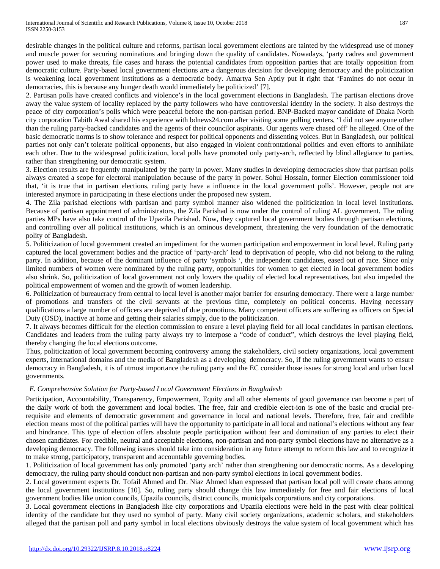desirable changes in the political culture and reforms, partisan local government elections are tainted by the widespread use of money and muscle power for securing nominations and bringing down the quality of candidates. Nowadays, 'party cadres and government power used to make threats, file cases and harass the potential candidates from opposition parties that are totally opposition from democratic culture. Party-based local government elections are a dangerous decision for developing democracy and the politicization is weakening local government institutions as a democratic body. Amartya Sen Aptly put it right that 'Famines do not occur in democracies, this is because any hunger death would immediately be politicized' [7].

2. Partisan polls have created conflicts and violence's in the local government elections in Bangladesh. The partisan elections drove away the value system of locality replaced by the party followers who have controversial identity in the society. It also destroys the peace of city corporation's polls which were peaceful before the non-partisan period. BNP-Backed mayor candidate of Dhaka North city corporation Tabith Awal shared his experience with bdnews24.com after visiting some polling centers, 'I did not see anyone other than the ruling party-backed candidates and the agents of their councilor aspirants. Our agents were chased off' he alleged. One of the basic democratic norms is to show tolerance and respect for political opponents and dissenting voices. But in Bangladesh, our political parties not only can't tolerate political opponents, but also engaged in violent confrontational politics and even efforts to annihilate each other. Due to the widespread politicization, local polls have promoted only party-arch, reflected by blind allegiance to parties, rather than strengthening our democratic system.

3. Election results are frequently manipulated by the party in power. Many studies in developing democracies show that partisan polls always created a scope for electoral manipulation because of the party in power. Sohul Hossain, former Election commissioner told that, 'it is true that in partisan elections, ruling party have a influence in the local government polls'. However, people not are interested anymore in participating in these elections under the proposed new system.

4. The Zila parishad elections with partisan and party symbol manner also widened the politicization in local level institutions. Because of partisan appointment of administrators, the Zila Parishad is now under the control of ruling AL government. The ruling parties MPs have also take control of the Upazila Parishad. Now, they captured local government bodies through partisan elections, and controlling over all political institutions, which is an ominous development, threatening the very foundation of the democratic polity of Bangladesh.

5. Politicization of local government created an impediment for the women participation and empowerment in local level. Ruling party captured the local government bodies and the practice of 'party-arch' lead to deprivation of people, who did not belong to the ruling party. In addition, because of the dominant influence of party 'symbols ', the independent candidates, eased out of race. Since only limited numbers of women were nominated by the ruling party, opportunities for women to get elected in local government bodies also shrink. So, politicization of local government not only lowers the quality of elected local representatives, but also impeded the political empowerment of women and the growth of women leadership.

6. Politicization of bureaucracy from central to local level is another major barrier for ensuring democracy. There were a large number of promotions and transfers of the civil servants at the previous time, completely on political concerns. Having necessary qualifications a large number of officers are deprived of due promotions. Many competent officers are suffering as officers on Special Duty (OSD), inactive at home and getting their salaries simply, due to the politicization.

7. It always becomes difficult for the election commission to ensure a level playing field for all local candidates in partisan elections. Candidates and leaders from the ruling party always try to interpose a "code of conduct", which destroys the level playing field, thereby changing the local elections outcome.

Thus, politicization of local government becoming controversy among the stakeholders, civil society organizations, local government experts, international domains and the media of Bangladesh as a developing democracy. So, if the ruling government wants to ensure democracy in Bangladesh, it is of utmost importance the ruling party and the EC consider those issues for strong local and urban local governments.

## *E. Comprehensive Solution for Party-based Local Government Elections in Bangladesh*

Participation, Accountability, Transparency, Empowerment, Equity and all other elements of good governance can become a part of the daily work of both the government and local bodies. The free, fair and credible elect-ion is one of the basic and crucial prerequisite and elements of democratic government and governance in local and national levels. Therefore, free, fair and credible election means most of the political parties will have the opportunity to participate in all local and national's elections without any fear and hindrance. This type of election offers absolute people participation without fear and domination of any parties to elect their chosen candidates. For credible, neutral and acceptable elections, non-partisan and non-party symbol elections have no alternative as a developing democracy. The following issues should take into consideration in any future attempt to reform this law and to recognize it to make strong, participatory, transparent and accountable governing bodies.

1. Politicization of local government has only promoted 'party arch' rather than strengthening our democratic norms. As a developing democracy, the ruling party should conduct non-partisan and non-party symbol elections in local government bodies.

2. Local government experts Dr. Tofail Ahmed and Dr. Niaz Ahmed khan expressed that partisan local poll will create chaos among the local government institutions [10]. So, ruling party should change this law immediately for free and fair elections of local government bodies like union councils, Upazila councils, district councils, municipals corporations and city corporations.

3. Local government elections in Bangladesh like city corporations and Upazila elections were held in the past with clear political identity of the candidate but they used no symbol of party. Many civil society organizations, academic scholars, and stakeholders alleged that the partisan poll and party symbol in local elections obviously destroys the value system of local government which has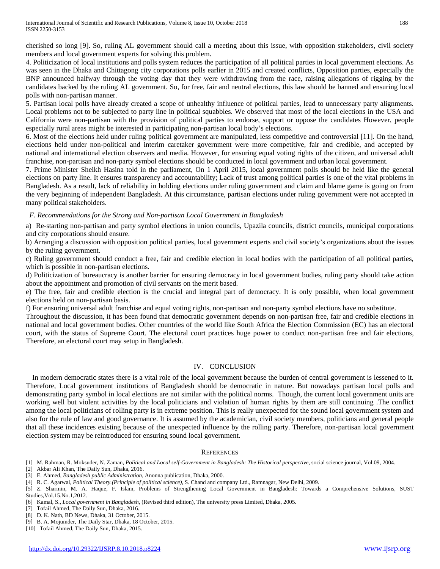cherished so long [9]. So, ruling AL government should call a meeting about this issue, with opposition stakeholders, civil society members and local government experts for solving this problem.

4. Politicization of local institutions and polls system reduces the participation of all political parties in local government elections. As was seen in the Dhaka and Chittagong city corporations polls earlier in 2015 and created conflicts, Opposition parties, especially the BNP announced halfway through the voting day that they were withdrawing from the race, raising allegations of rigging by the candidates backed by the ruling AL government. So, for free, fair and neutral elections, this law should be banned and ensuring local polls with non-partisan manner.

5. Partisan local polls have already created a scope of unhealthy influence of political parties, lead to unnecessary party alignments. Local problems not to be subjected to party line in political squabbles. We observed that most of the local elections in the USA and California were non-partisan with the provision of political parties to endorse, support or oppose the candidates However, people especially rural areas might be interested in participating non-partisan local body's elections.

6. Most of the elections held under ruling political government are manipulated, less competitive and controversial [11]. On the hand, elections held under non-political and interim caretaker government were more competitive, fair and credible, and accepted by national and international election observers and media. However, for ensuring equal voting rights of the citizen, and universal adult franchise, non-partisan and non-party symbol elections should be conducted in local government and urban local government.

7. Prime Minister Sheikh Hasina told in the parliament, On 1 April 2015, local government polls should be held like the general elections on party line. It ensures transparency and accountability; Lack of trust among political parties is one of the vital problems in Bangladesh. As a result, lack of reliability in holding elections under ruling government and claim and blame game is going on from the very beginning of independent Bangladesh. At this circumstance, partisan elections under ruling government were not accepted in many political stakeholders.

## *F. Recommendations for the Strong and Non-partisan Local Government in Bangladesh*

a) Re-starting non-partisan and party symbol elections in union councils, Upazila councils, district councils, municipal corporations and city corporations should ensure.

b) Arranging a discussion with opposition political parties, local government experts and civil society's organizations about the issues by the ruling government.

c) Ruling government should conduct a free, fair and credible election in local bodies with the participation of all political parties, which is possible in non-partisan elections.

d) Politicization of bureaucracy is another barrier for ensuring democracy in local government bodies, ruling party should take action about the appointment and promotion of civil servants on the merit based.

e) The free, fair and credible election is the crucial and integral part of democracy. It is only possible, when local government elections held on non-partisan basis.

f) For ensuring universal adult franchise and equal voting rights, non-partisan and non-party symbol elections have no substitute.

Throughout the discussion, it has been found that democratic government depends on non-partisan free, fair and credible elections in national and local government bodies. Other countries of the world like South Africa the Election Commission (EC) has an electoral court, with the status of Supreme Court. The electoral court practices huge power to conduct non-partisan free and fair elections, Therefore, an electoral court may setup in Bangladesh.

## IV. CONCLUSION

In modern democratic states there is a vital role of the local government because the burden of central government is lessened to it. Therefore, Local government institutions of Bangladesh should be democratic in nature. But nowadays partisan local polls and demonstrating party symbol in local elections are not similar with the political norms. Though, the current local government units are working well but violent activities by the local politicians and violation of human rights by them are still continuing .The conflict among the local politicians of rolling party is in extreme position. This is really unexpected for the sound local government system and also for the rule of law and good governance. It is assumed by the academician, civil society members, politicians and general people that all these incidences existing because of the unexpected influence by the rolling party. Therefore, non-partisan local government election system may be reintroduced for ensuring sound local government.

#### REFERENCES

[1] M. Rahman, R. Moksuder, N. Zaman, *Political and Local self-Government in Bangladesh: The Historical perspective*, social science journal, Vol.09, 2004.

[2] Akbar Ali Khan, The Daily Sun, Dhaka, 2016.

<sup>[3]</sup> E. Ahmed, *Bangladesh public Administration*, Anonna publication, Dhaka, 2000.

<sup>[4]</sup> R. C. Agarwal, *Political Theory.(Principle of political science)*, S. Chand and company Ltd., Ramnagar, New Delhi, 2009.

<sup>[5]</sup> Z. Sharmin, M. A. Haque, F. Islam, Problems of Strengthening Local Government in Bangladesh: Towards a Comprehensive Solutions, SUST Studies,Vol.15,No.1,2012.

<sup>[6]</sup> Kamal, S., *Local government in Bangladesh*, (Revised third edition), The university press Limited, Dhaka, 2005.

<sup>[7]</sup> Tofail Ahmed, The Daily Sun, Dhaka, 2016.

<sup>[8]</sup> D. K. Nath, BD News, Dhaka, 31 October, 2015.

<sup>[9]</sup> B. A. Mojumder, The Daily Star, Dhaka, 18 October, 2015.

<sup>[10]</sup> Tofail Ahmed, The Daily Sun, Dhaka, 2015.